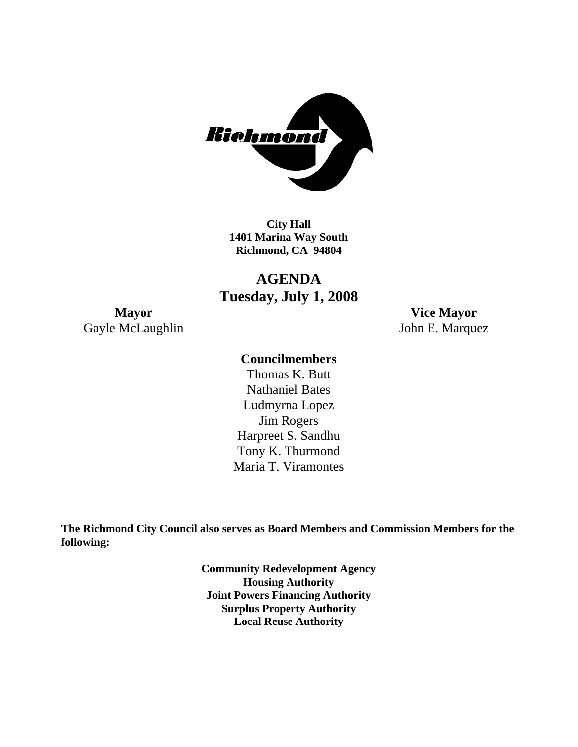

**City Hall 1401 Marina Way South Richmond, CA 94804** 

**AGENDA Tuesday, July 1, 2008** 

**Mayor Vice Mayor**  Gayle McLaughlin John E. Marquez

## **Councilmembers**

Harpreet S. Sandhu Tony K. Thurmond Maria T. Viramontes Thomas K. Butt Nathaniel Bates Ludmyrna Lopez Jim Rogers

**The Richmond City Council also serves as Board Members and Commission Members for the following:** 

> **Community Redevelopment Agency Housing Authority Joint Powers Financing Authority Surplus Property Authority Local Reuse Authority**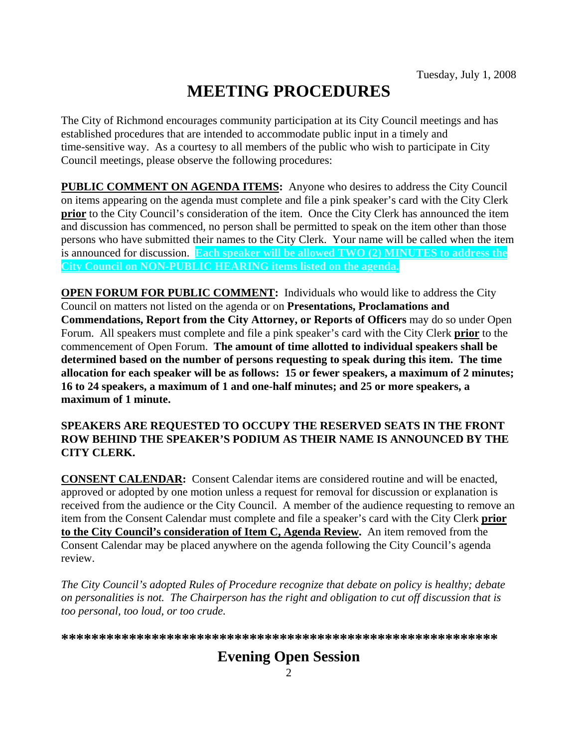# **MEETING PROCEDURES**

The City of Richmond encourages community participation at its City Council meetings and has established procedures that are intended to accommodate public input in a timely and time-sensitive way. As a courtesy to all members of the public who wish to participate in City Council meetings, please observe the following procedures:

**PUBLIC COMMENT ON AGENDA ITEMS:** Anyone who desires to address the City Council on items appearing on the agenda must complete and file a pink speaker's card with the City Clerk **prior** to the City Council's consideration of the item. Once the City Clerk has announced the item and discussion has commenced, no person shall be permitted to speak on the item other than those persons who have submitted their names to the City Clerk. Your name will be called when the item is announced for discussion. **Each speaker will be allowed TWO (2) MINUTES to address the City Council on NON-PUBLIC HEARING items listed on the agenda.** 

**OPEN FORUM FOR PUBLIC COMMENT:** Individuals who would like to address the City Council on matters not listed on the agenda or on **Presentations, Proclamations and Commendations, Report from the City Attorney, or Reports of Officers** may do so under Open Forum. All speakers must complete and file a pink speaker's card with the City Clerk **prior** to the commencement of Open Forum. **The amount of time allotted to individual speakers shall be determined based on the number of persons requesting to speak during this item. The time allocation for each speaker will be as follows: 15 or fewer speakers, a maximum of 2 minutes; 16 to 24 speakers, a maximum of 1 and one-half minutes; and 25 or more speakers, a maximum of 1 minute.** 

#### **SPEAKERS ARE REQUESTED TO OCCUPY THE RESERVED SEATS IN THE FRONT ROW BEHIND THE SPEAKER'S PODIUM AS THEIR NAME IS ANNOUNCED BY THE CITY CLERK.**

**CONSENT CALENDAR:** Consent Calendar items are considered routine and will be enacted, approved or adopted by one motion unless a request for removal for discussion or explanation is received from the audience or the City Council. A member of the audience requesting to remove an item from the Consent Calendar must complete and file a speaker's card with the City Clerk **prior to the City Council's consideration of Item C, Agenda Review.** An item removed from the Consent Calendar may be placed anywhere on the agenda following the City Council's agenda review.

*The City Council's adopted Rules of Procedure recognize that debate on policy is healthy; debate on personalities is not. The Chairperson has the right and obligation to cut off discussion that is too personal, too loud, or too crude.* 

**\*\*\*\*\*\*\*\*\*\*\*\*\*\*\*\*\*\*\*\*\*\*\*\*\*\*\*\*\*\*\*\*\*\*\*\*\*\*\*\*\*\*\*\*\*\*\*\*\*\*\*\*\*\*\*\*\*\***

## **Evening Open Session**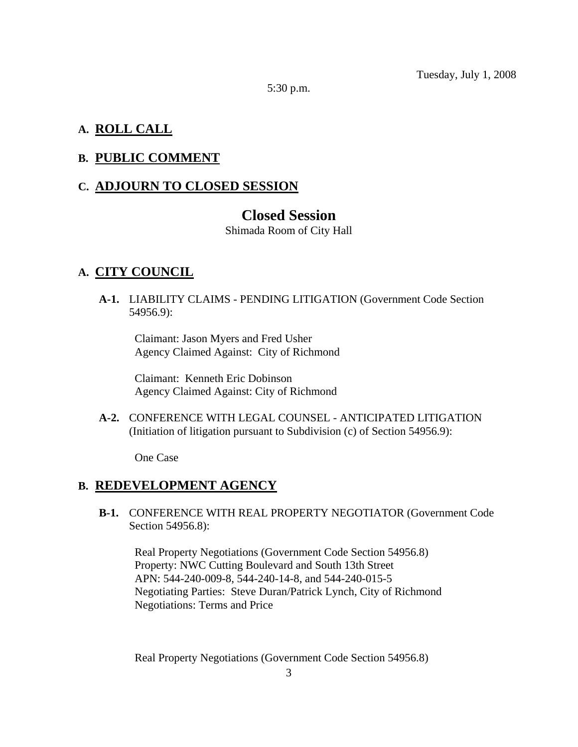Tuesday, July 1, 2008

5:30 p.m.

## **A. ROLL CALL**

#### **B. PUBLIC COMMENT**

## **C. ADJOURN TO CLOSED SESSION**

### **Closed Session**

Shimada Room of City Hall

#### **A. CITY COUNCIL**

 **A-1.** LIABILITY CLAIMS - PENDING LITIGATION (Government Code Section 54956.9):

Claimant: Jason Myers and Fred Usher Agency Claimed Against: City of Richmond

Claimant: Kenneth Eric Dobinson Agency Claimed Against: City of Richmond

 **A-2.** CONFERENCE WITH LEGAL COUNSEL - ANTICIPATED LITIGATION (Initiation of litigation pursuant to Subdivision (c) of Section 54956.9):

One Case

#### **B. REDEVELOPMENT AGENCY**

 **B-1.** CONFERENCE WITH REAL PROPERTY NEGOTIATOR (Government Code Section 54956.8):

Real Property Negotiations (Government Code Section 54956.8) Property: NWC Cutting Boulevard and South 13th Street APN: 544-240-009-8, 544-240-14-8, and 544-240-015-5 Negotiating Parties: Steve Duran/Patrick Lynch, City of Richmond Negotiations: Terms and Price

Real Property Negotiations (Government Code Section 54956.8)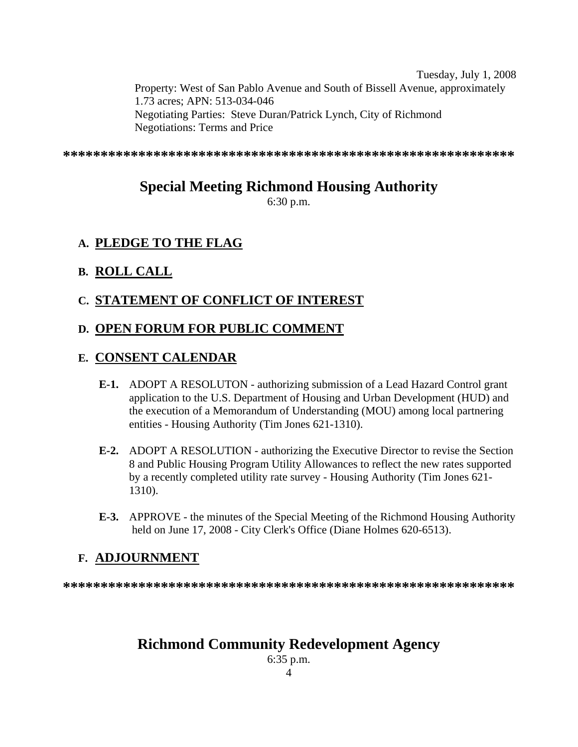Tuesday, July 1, 2008 Property: West of San Pablo Avenue and South of Bissell Avenue, approximately 1.73 acres; APN: 513-034-046 Negotiating Parties: Steve Duran/Patrick Lynch, City of Richmond Negotiations: Terms and Price

**\*\*\*\*\*\*\*\*\*\*\*\*\*\*\*\*\*\*\*\*\*\*\*\*\*\*\*\*\*\*\*\*\*\*\*\*\*\*\*\*\*\*\*\*\*\*\*\*\*\*\*\*\*\*\*\*\*\*\*\*** 

## **Special Meeting Richmond Housing Authority**

6:30 p.m.

## **A. PLEDGE TO THE FLAG**

## **B. ROLL CALL**

## **C. STATEMENT OF CONFLICT OF INTEREST**

## **D. OPEN FORUM FOR PUBLIC COMMENT**

## **E. CONSENT CALENDAR**

- **E-1.** ADOPT A RESOLUTON authorizing submission of a Lead Hazard Control grant application to the U.S. Department of Housing and Urban Development (HUD) and the execution of a Memorandum of Understanding (MOU) among local partnering entities - Housing Authority (Tim Jones 621-1310).
- **E-2.** ADOPT A RESOLUTION authorizing the Executive Director to revise the Section 8 and Public Housing Program Utility Allowances to reflect the new rates supported by a recently completed utility rate survey - Housing Authority (Tim Jones 621- 1310).
- **E-3.** APPROVE the minutes of the Special Meeting of the Richmond Housing Authority held on June 17, 2008 - City Clerk's Office (Diane Holmes 620-6513).

## **F. ADJOURNMENT**

**\*\*\*\*\*\*\*\*\*\*\*\*\*\*\*\*\*\*\*\*\*\*\*\*\*\*\*\*\*\*\*\*\*\*\*\*\*\*\*\*\*\*\*\*\*\*\*\*\*\*\*\*\*\*\*\*\*\*\*\*** 

## **Richmond Community Redevelopment Agency**

4 6:35 p.m.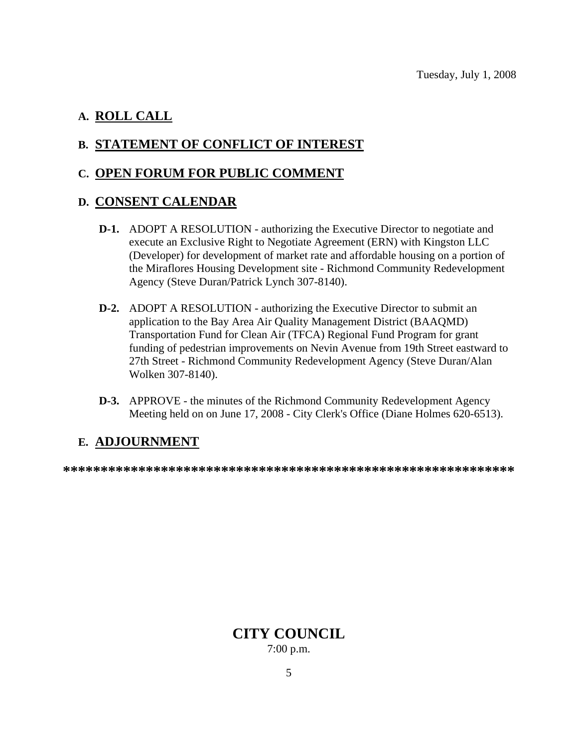## **A. ROLL CALL**

## **B. STATEMENT OF CONFLICT OF INTEREST**

## **C. OPEN FORUM FOR PUBLIC COMMENT**

## **D. CONSENT CALENDAR**

- **D-1.** ADOPT A RESOLUTION authorizing the Executive Director to negotiate and execute an Exclusive Right to Negotiate Agreement (ERN) with Kingston LLC (Developer) for development of market rate and affordable housing on a portion of the Miraflores Housing Development site - Richmond Community Redevelopment Agency (Steve Duran/Patrick Lynch 307-8140).
- **D-2.** ADOPT A RESOLUTION authorizing the Executive Director to submit an application to the Bay Area Air Quality Management District (BAAQMD) Transportation Fund for Clean Air (TFCA) Regional Fund Program for grant funding of pedestrian improvements on Nevin Avenue from 19th Street eastward to 27th Street - Richmond Community Redevelopment Agency (Steve Duran/Alan Wolken 307-8140).
- **D-3.** APPROVE the minutes of the Richmond Community Redevelopment Agency Meeting held on on June 17, 2008 - City Clerk's Office (Diane Holmes 620-6513).

## **E. ADJOURNMENT**

**\*\*\*\*\*\*\*\*\*\*\*\*\*\*\*\*\*\*\*\*\*\*\*\*\*\*\*\*\*\*\*\*\*\*\*\*\*\*\*\*\*\*\*\*\*\*\*\*\*\*\*\*\*\*\*\*\*\*\*\*** 

**CITY COUNCIL**  7:00 p.m.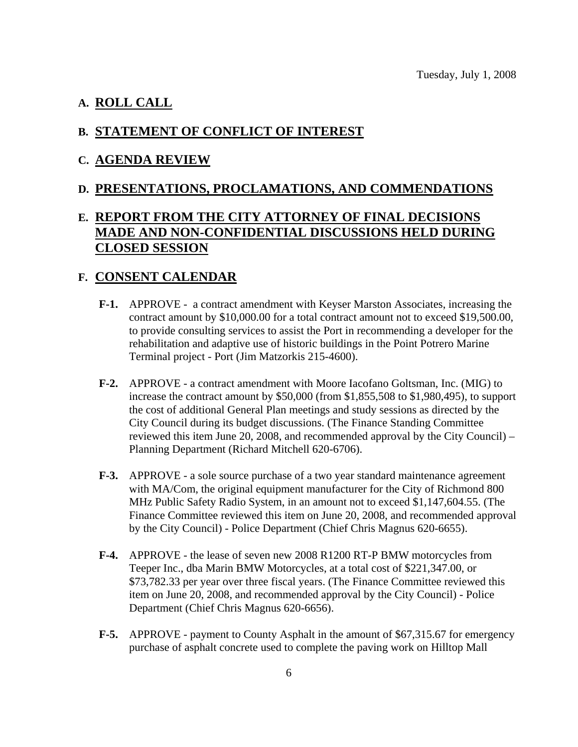#### **A. ROLL CALL**

#### **B. STATEMENT OF CONFLICT OF INTEREST**

#### **C. AGENDA REVIEW**

#### **D. PRESENTATIONS, PROCLAMATIONS, AND COMMENDATIONS**

## **E. REPORT FROM THE CITY ATTORNEY OF FINAL DECISIONS MADE AND NON-CONFIDENTIAL DISCUSSIONS HELD DURING CLOSED SESSION**

#### **F. CONSENT CALENDAR**

- **F-1.** APPROVE a contract amendment with Keyser Marston Associates, increasing the contract amount by \$10,000.00 for a total contract amount not to exceed \$19,500.00, to provide consulting services to assist the Port in recommending a developer for the rehabilitation and adaptive use of historic buildings in the Point Potrero Marine Terminal project - Port (Jim Matzorkis 215-4600).
- **F-2.** APPROVE a contract amendment with Moore Iacofano Goltsman, Inc. (MIG) to increase the contract amount by \$50,000 (from \$1,855,508 to \$1,980,495), to support the cost of additional General Plan meetings and study sessions as directed by the City Council during its budget discussions. (The Finance Standing Committee reviewed this item June 20, 2008, and recommended approval by the City Council) – Planning Department (Richard Mitchell 620-6706).
- **F-3.** APPROVE a sole source purchase of a two year standard maintenance agreement with MA/Com, the original equipment manufacturer for the City of Richmond 800 MHz Public Safety Radio System, in an amount not to exceed \$1,147,604.55. (The Finance Committee reviewed this item on June 20, 2008, and recommended approval by the City Council) - Police Department (Chief Chris Magnus 620-6655).
- **F-4.** APPROVE the lease of seven new 2008 R1200 RT-P BMW motorcycles from Teeper Inc., dba Marin BMW Motorcycles, at a total cost of \$221,347.00, or \$73,782.33 per year over three fiscal years. (The Finance Committee reviewed this item on June 20, 2008, and recommended approval by the City Council) - Police Department (Chief Chris Magnus 620-6656).
- **F-5.** APPROVE payment to County Asphalt in the amount of \$67,315.67 for emergency purchase of asphalt concrete used to complete the paving work on Hilltop Mall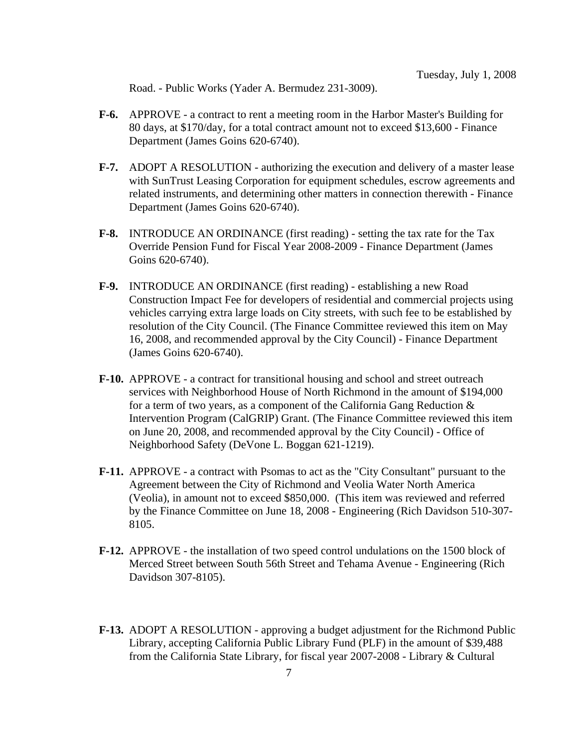Road. - Public Works (Yader A. Bermudez 231-3009).

- **F-6.** APPROVE a contract to rent a meeting room in the Harbor Master's Building for 80 days, at \$170/day, for a total contract amount not to exceed \$13,600 - Finance Department (James Goins 620-6740).
- **F-7.** ADOPT A RESOLUTION authorizing the execution and delivery of a master lease with SunTrust Leasing Corporation for equipment schedules, escrow agreements and related instruments, and determining other matters in connection therewith - Finance Department (James Goins 620-6740).
- **F-8.** INTRODUCE AN ORDINANCE (first reading) setting the tax rate for the Tax Override Pension Fund for Fiscal Year 2008-2009 - Finance Department (James Goins 620-6740).
- **F-9.** INTRODUCE AN ORDINANCE (first reading) establishing a new Road Construction Impact Fee for developers of residential and commercial projects using vehicles carrying extra large loads on City streets, with such fee to be established by resolution of the City Council. (The Finance Committee reviewed this item on May 16, 2008, and recommended approval by the City Council) - Finance Department (James Goins 620-6740).
- **F-10.** APPROVE a contract for transitional housing and school and street outreach services with Neighborhood House of North Richmond in the amount of \$194,000 for a term of two years, as a component of the California Gang Reduction & Intervention Program (CalGRIP) Grant. (The Finance Committee reviewed this item on June 20, 2008, and recommended approval by the City Council) - Office of Neighborhood Safety (DeVone L. Boggan 621-1219).
- **F-11.** APPROVE a contract with Psomas to act as the "City Consultant" pursuant to the Agreement between the City of Richmond and Veolia Water North America (Veolia), in amount not to exceed \$850,000. (This item was reviewed and referred by the Finance Committee on June 18, 2008 - Engineering (Rich Davidson 510-307- 8105.
- **F-12.** APPROVE the installation of two speed control undulations on the 1500 block of Merced Street between South 56th Street and Tehama Avenue - Engineering (Rich Davidson 307-8105).
- **F-13.** ADOPT A RESOLUTION approving a budget adjustment for the Richmond Public Library, accepting California Public Library Fund (PLF) in the amount of \$39,488 from the California State Library, for fiscal year 2007-2008 - Library & Cultural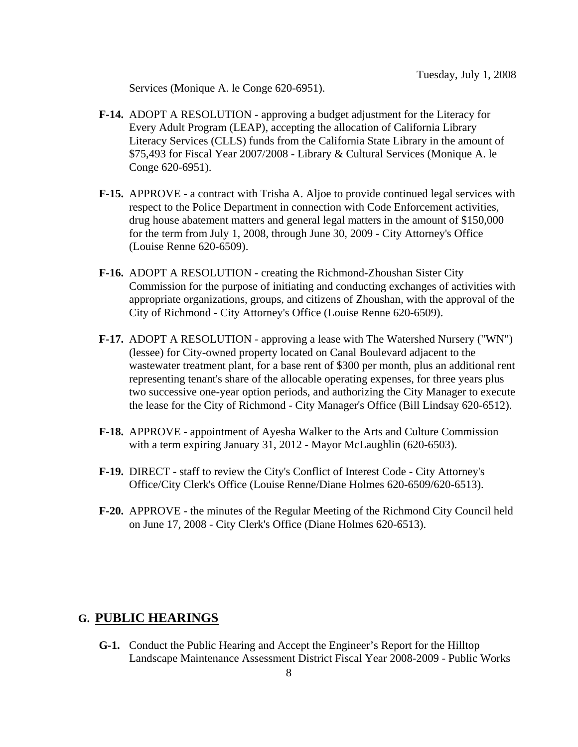Services (Monique A. le Conge 620-6951).

- **F-14.** ADOPT A RESOLUTION approving a budget adjustment for the Literacy for Every Adult Program (LEAP), accepting the allocation of California Library Literacy Services (CLLS) funds from the California State Library in the amount of \$75,493 for Fiscal Year 2007/2008 - Library & Cultural Services (Monique A. le Conge 620-6951).
- **F-15.** APPROVE a contract with Trisha A. Aljoe to provide continued legal services with respect to the Police Department in connection with Code Enforcement activities, drug house abatement matters and general legal matters in the amount of \$150,000 for the term from July 1, 2008, through June 30, 2009 - City Attorney's Office (Louise Renne 620-6509).
- **F-16.** ADOPT A RESOLUTION creating the Richmond-Zhoushan Sister City Commission for the purpose of initiating and conducting exchanges of activities with appropriate organizations, groups, and citizens of Zhoushan, with the approval of the City of Richmond - City Attorney's Office (Louise Renne 620-6509).
- **F-17.** ADOPT A RESOLUTION approving a lease with The Watershed Nursery ("WN") (lessee) for City-owned property located on Canal Boulevard adjacent to the wastewater treatment plant, for a base rent of \$300 per month, plus an additional rent representing tenant's share of the allocable operating expenses, for three years plus two successive one-year option periods, and authorizing the City Manager to execute the lease for the City of Richmond - City Manager's Office (Bill Lindsay 620-6512).
- **F-18.** APPROVE appointment of Ayesha Walker to the Arts and Culture Commission with a term expiring January 31, 2012 - Mayor McLaughlin (620-6503).
- **F-19.** DIRECT staff to review the City's Conflict of Interest Code City Attorney's Office/City Clerk's Office (Louise Renne/Diane Holmes 620-6509/620-6513).
- **F-20.** APPROVE the minutes of the Regular Meeting of the Richmond City Council held on June 17, 2008 - City Clerk's Office (Diane Holmes 620-6513).

## **G. PUBLIC HEARINGS**

 **G-1.** Conduct the Public Hearing and Accept the Engineer's Report for the Hilltop Landscape Maintenance Assessment District Fiscal Year 2008-2009 - Public Works